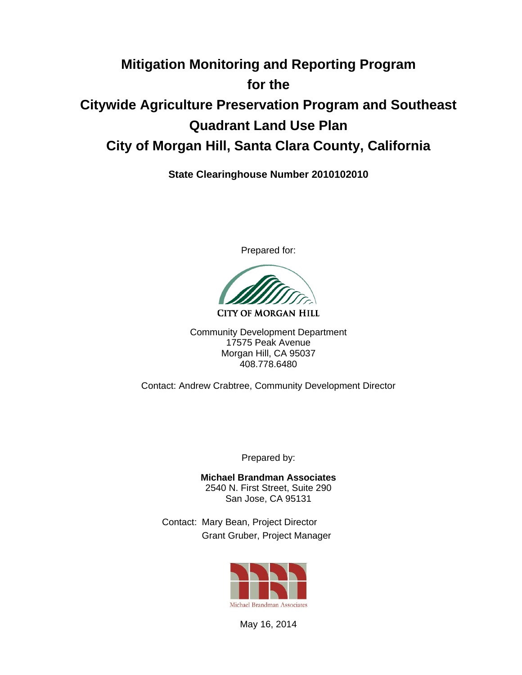# **Mitigation Monitoring and Reporting Program for the Citywide Agriculture Preservation Program and Southeast Quadrant Land Use Plan City of Morgan Hill, Santa Clara County, California**

**State Clearinghouse Number 2010102010** 

Prepared for:

**CITY OF MORGAN HILL** 

Community Development Department 17575 Peak Avenue Morgan Hill, CA 95037 408.778.6480

Contact: Andrew Crabtree, Community Development Director

Prepared by:

**Michael Brandman Associates** 2540 N. First Street, Suite 290 San Jose, CA 95131

Contact: Mary Bean, Project Director Grant Gruber, Project Manager



May 16, 2014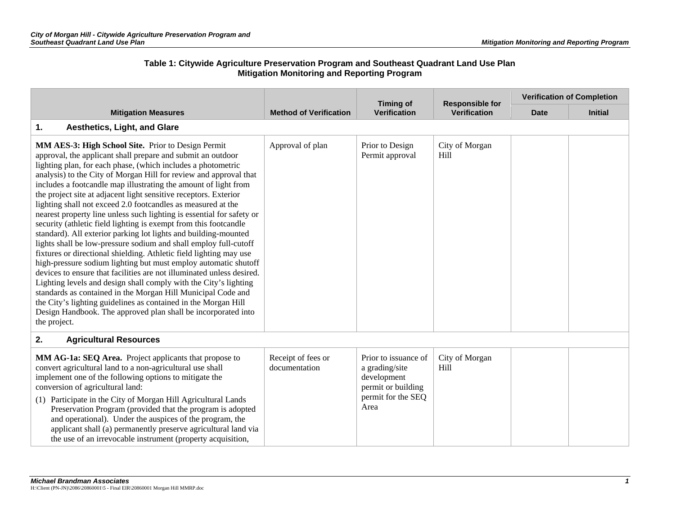|                                                                                                                                                                                                                                                                                                                                                                                                                                                                                                                                                                                                                                                                                                                                                                                                                                                                                                                                                                                                                                                                                                                                                                                                                                                            |                                     | <b>Timing of</b>                                                                                          | <b>Responsible for</b> | <b>Verification of Completion</b> |                |  |
|------------------------------------------------------------------------------------------------------------------------------------------------------------------------------------------------------------------------------------------------------------------------------------------------------------------------------------------------------------------------------------------------------------------------------------------------------------------------------------------------------------------------------------------------------------------------------------------------------------------------------------------------------------------------------------------------------------------------------------------------------------------------------------------------------------------------------------------------------------------------------------------------------------------------------------------------------------------------------------------------------------------------------------------------------------------------------------------------------------------------------------------------------------------------------------------------------------------------------------------------------------|-------------------------------------|-----------------------------------------------------------------------------------------------------------|------------------------|-----------------------------------|----------------|--|
| <b>Mitigation Measures</b>                                                                                                                                                                                                                                                                                                                                                                                                                                                                                                                                                                                                                                                                                                                                                                                                                                                                                                                                                                                                                                                                                                                                                                                                                                 | <b>Method of Verification</b>       | <b>Verification</b>                                                                                       | <b>Verification</b>    | <b>Date</b>                       | <b>Initial</b> |  |
| 1.<br>Aesthetics, Light, and Glare                                                                                                                                                                                                                                                                                                                                                                                                                                                                                                                                                                                                                                                                                                                                                                                                                                                                                                                                                                                                                                                                                                                                                                                                                         |                                     |                                                                                                           |                        |                                   |                |  |
| MM AES-3: High School Site. Prior to Design Permit<br>approval, the applicant shall prepare and submit an outdoor<br>lighting plan, for each phase, (which includes a photometric<br>analysis) to the City of Morgan Hill for review and approval that<br>includes a footcandle map illustrating the amount of light from<br>the project site at adjacent light sensitive receptors. Exterior<br>lighting shall not exceed 2.0 footcandles as measured at the<br>nearest property line unless such lighting is essential for safety or<br>security (athletic field lighting is exempt from this footcandle<br>standard). All exterior parking lot lights and building-mounted<br>lights shall be low-pressure sodium and shall employ full-cutoff<br>fixtures or directional shielding. Athletic field lighting may use<br>high-pressure sodium lighting but must employ automatic shutoff<br>devices to ensure that facilities are not illuminated unless desired.<br>Lighting levels and design shall comply with the City's lighting<br>standards as contained in the Morgan Hill Municipal Code and<br>the City's lighting guidelines as contained in the Morgan Hill<br>Design Handbook. The approved plan shall be incorporated into<br>the project. | Approval of plan                    | Prior to Design<br>Permit approval                                                                        | City of Morgan<br>Hill |                                   |                |  |
| 2.<br><b>Agricultural Resources</b>                                                                                                                                                                                                                                                                                                                                                                                                                                                                                                                                                                                                                                                                                                                                                                                                                                                                                                                                                                                                                                                                                                                                                                                                                        |                                     |                                                                                                           |                        |                                   |                |  |
| MM AG-1a: SEQ Area. Project applicants that propose to<br>convert agricultural land to a non-agricultural use shall<br>implement one of the following options to mitigate the<br>conversion of agricultural land:<br>(1) Participate in the City of Morgan Hill Agricultural Lands<br>Preservation Program (provided that the program is adopted<br>and operational). Under the auspices of the program, the<br>applicant shall (a) permanently preserve agricultural land via<br>the use of an irrevocable instrument (property acquisition,                                                                                                                                                                                                                                                                                                                                                                                                                                                                                                                                                                                                                                                                                                              | Receipt of fees or<br>documentation | Prior to issuance of<br>a grading/site<br>development<br>permit or building<br>permit for the SEQ<br>Area | City of Morgan<br>Hill |                                   |                |  |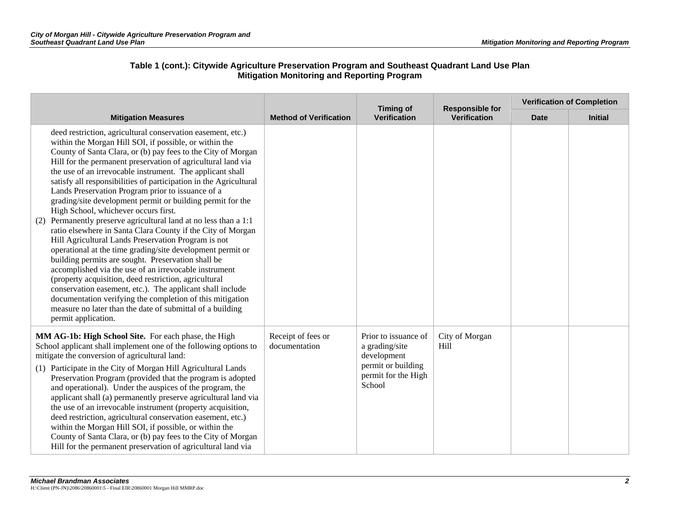|                                                                                                                                                                                                                                                                                                                                                                                                                                                                                                                                                                                                                                                                                                                                                                                                                                                                                                                                                                                                                                                                                                                                                                                                     |                                     |                                                                                                              | <b>Timing of</b><br><b>Responsible for</b> | <b>Verification of Completion</b> |                |  |
|-----------------------------------------------------------------------------------------------------------------------------------------------------------------------------------------------------------------------------------------------------------------------------------------------------------------------------------------------------------------------------------------------------------------------------------------------------------------------------------------------------------------------------------------------------------------------------------------------------------------------------------------------------------------------------------------------------------------------------------------------------------------------------------------------------------------------------------------------------------------------------------------------------------------------------------------------------------------------------------------------------------------------------------------------------------------------------------------------------------------------------------------------------------------------------------------------------|-------------------------------------|--------------------------------------------------------------------------------------------------------------|--------------------------------------------|-----------------------------------|----------------|--|
| <b>Mitigation Measures</b>                                                                                                                                                                                                                                                                                                                                                                                                                                                                                                                                                                                                                                                                                                                                                                                                                                                                                                                                                                                                                                                                                                                                                                          | <b>Method of Verification</b>       | <b>Verification</b>                                                                                          | <b>Verification</b>                        | <b>Date</b>                       | <b>Initial</b> |  |
| deed restriction, agricultural conservation easement, etc.)<br>within the Morgan Hill SOI, if possible, or within the<br>County of Santa Clara, or (b) pay fees to the City of Morgan<br>Hill for the permanent preservation of agricultural land via<br>the use of an irrevocable instrument. The applicant shall<br>satisfy all responsibilities of participation in the Agricultural<br>Lands Preservation Program prior to issuance of a<br>grading/site development permit or building permit for the<br>High School, whichever occurs first.<br>Permanently preserve agricultural land at no less than a 1:1<br>(2)<br>ratio elsewhere in Santa Clara County if the City of Morgan<br>Hill Agricultural Lands Preservation Program is not<br>operational at the time grading/site development permit or<br>building permits are sought. Preservation shall be<br>accomplished via the use of an irrevocable instrument<br>(property acquisition, deed restriction, agricultural<br>conservation easement, etc.). The applicant shall include<br>documentation verifying the completion of this mitigation<br>measure no later than the date of submittal of a building<br>permit application. |                                     |                                                                                                              |                                            |                                   |                |  |
| MM AG-1b: High School Site. For each phase, the High<br>School applicant shall implement one of the following options to<br>mitigate the conversion of agricultural land:<br>(1) Participate in the City of Morgan Hill Agricultural Lands<br>Preservation Program (provided that the program is adopted<br>and operational). Under the auspices of the program, the<br>applicant shall (a) permanently preserve agricultural land via<br>the use of an irrevocable instrument (property acquisition,<br>deed restriction, agricultural conservation easement, etc.)<br>within the Morgan Hill SOI, if possible, or within the<br>County of Santa Clara, or (b) pay fees to the City of Morgan<br>Hill for the permanent preservation of agricultural land via                                                                                                                                                                                                                                                                                                                                                                                                                                      | Receipt of fees or<br>documentation | Prior to issuance of<br>a grading/site<br>development<br>permit or building<br>permit for the High<br>School | City of Morgan<br>Hill                     |                                   |                |  |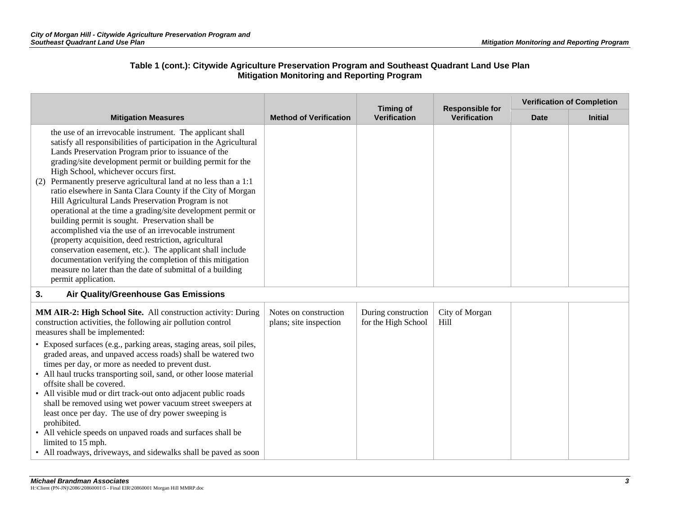|                                                                                                                                                                                                                                                                                                                                                                                                                                                                                                                                                                                                                                                                                                                                                                                                                                                                                                                                           |                                                 | <b>Timing of</b>                           | <b>Responsible for</b> |             | <b>Verification of Completion</b> |
|-------------------------------------------------------------------------------------------------------------------------------------------------------------------------------------------------------------------------------------------------------------------------------------------------------------------------------------------------------------------------------------------------------------------------------------------------------------------------------------------------------------------------------------------------------------------------------------------------------------------------------------------------------------------------------------------------------------------------------------------------------------------------------------------------------------------------------------------------------------------------------------------------------------------------------------------|-------------------------------------------------|--------------------------------------------|------------------------|-------------|-----------------------------------|
| <b>Mitigation Measures</b>                                                                                                                                                                                                                                                                                                                                                                                                                                                                                                                                                                                                                                                                                                                                                                                                                                                                                                                | <b>Method of Verification</b>                   | <b>Verification</b>                        | <b>Verification</b>    | <b>Date</b> | <b>Initial</b>                    |
| the use of an irrevocable instrument. The applicant shall<br>satisfy all responsibilities of participation in the Agricultural<br>Lands Preservation Program prior to issuance of the<br>grading/site development permit or building permit for the<br>High School, whichever occurs first.<br>(2) Permanently preserve agricultural land at no less than a 1:1<br>ratio elsewhere in Santa Clara County if the City of Morgan<br>Hill Agricultural Lands Preservation Program is not<br>operational at the time a grading/site development permit or<br>building permit is sought. Preservation shall be<br>accomplished via the use of an irrevocable instrument<br>(property acquisition, deed restriction, agricultural<br>conservation easement, etc.). The applicant shall include<br>documentation verifying the completion of this mitigation<br>measure no later than the date of submittal of a building<br>permit application. |                                                 |                                            |                        |             |                                   |
| 3.<br>Air Quality/Greenhouse Gas Emissions                                                                                                                                                                                                                                                                                                                                                                                                                                                                                                                                                                                                                                                                                                                                                                                                                                                                                                |                                                 |                                            |                        |             |                                   |
| MM AIR-2: High School Site. All construction activity: During<br>construction activities, the following air pollution control<br>measures shall be implemented:<br>• Exposed surfaces (e.g., parking areas, staging areas, soil piles,<br>graded areas, and unpaved access roads) shall be watered two<br>times per day, or more as needed to prevent dust.<br>• All haul trucks transporting soil, sand, or other loose material<br>offsite shall be covered.<br>• All visible mud or dirt track-out onto adjacent public roads<br>shall be removed using wet power vacuum street sweepers at<br>least once per day. The use of dry power sweeping is<br>prohibited.<br>• All vehicle speeds on unpaved roads and surfaces shall be<br>limited to 15 mph.<br>• All roadways, driveways, and sidewalks shall be paved as soon                                                                                                             | Notes on construction<br>plans; site inspection | During construction<br>for the High School | City of Morgan<br>Hill |             |                                   |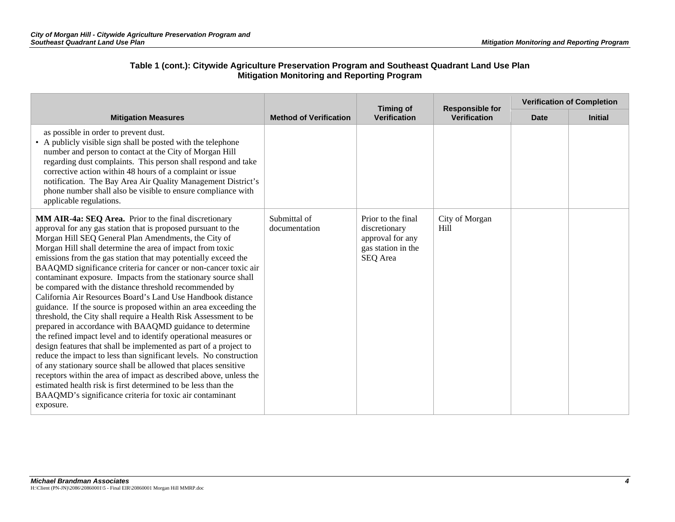|                                                                                                                                                                                                                                                                                                                                                                                                                                                                                                                                                                                                                                                                                                                                                                                                                                                                                                                                                                                                                                                                                                                                                                                                                                                                                   |                               | <b>Timing of</b>                                                                          | <b>Responsible for</b> |             | <b>Verification of Completion</b> |
|-----------------------------------------------------------------------------------------------------------------------------------------------------------------------------------------------------------------------------------------------------------------------------------------------------------------------------------------------------------------------------------------------------------------------------------------------------------------------------------------------------------------------------------------------------------------------------------------------------------------------------------------------------------------------------------------------------------------------------------------------------------------------------------------------------------------------------------------------------------------------------------------------------------------------------------------------------------------------------------------------------------------------------------------------------------------------------------------------------------------------------------------------------------------------------------------------------------------------------------------------------------------------------------|-------------------------------|-------------------------------------------------------------------------------------------|------------------------|-------------|-----------------------------------|
| <b>Mitigation Measures</b>                                                                                                                                                                                                                                                                                                                                                                                                                                                                                                                                                                                                                                                                                                                                                                                                                                                                                                                                                                                                                                                                                                                                                                                                                                                        | <b>Method of Verification</b> | <b>Verification</b>                                                                       | <b>Verification</b>    | <b>Date</b> | <b>Initial</b>                    |
| as possible in order to prevent dust.<br>• A publicly visible sign shall be posted with the telephone<br>number and person to contact at the City of Morgan Hill<br>regarding dust complaints. This person shall respond and take<br>corrective action within 48 hours of a complaint or issue<br>notification. The Bay Area Air Quality Management District's<br>phone number shall also be visible to ensure compliance with<br>applicable regulations.                                                                                                                                                                                                                                                                                                                                                                                                                                                                                                                                                                                                                                                                                                                                                                                                                         |                               |                                                                                           |                        |             |                                   |
| MM AIR-4a: SEQ Area. Prior to the final discretionary<br>approval for any gas station that is proposed pursuant to the<br>Morgan Hill SEQ General Plan Amendments, the City of<br>Morgan Hill shall determine the area of impact from toxic<br>emissions from the gas station that may potentially exceed the<br>BAAQMD significance criteria for cancer or non-cancer toxic air<br>contaminant exposure. Impacts from the stationary source shall<br>be compared with the distance threshold recommended by<br>California Air Resources Board's Land Use Handbook distance<br>guidance. If the source is proposed within an area exceeding the<br>threshold, the City shall require a Health Risk Assessment to be<br>prepared in accordance with BAAQMD guidance to determine<br>the refined impact level and to identify operational measures or<br>design features that shall be implemented as part of a project to<br>reduce the impact to less than significant levels. No construction<br>of any stationary source shall be allowed that places sensitive<br>receptors within the area of impact as described above, unless the<br>estimated health risk is first determined to be less than the<br>BAAQMD's significance criteria for toxic air contaminant<br>exposure. | Submittal of<br>documentation | Prior to the final<br>discretionary<br>approval for any<br>gas station in the<br>SEQ Area | City of Morgan<br>Hill |             |                                   |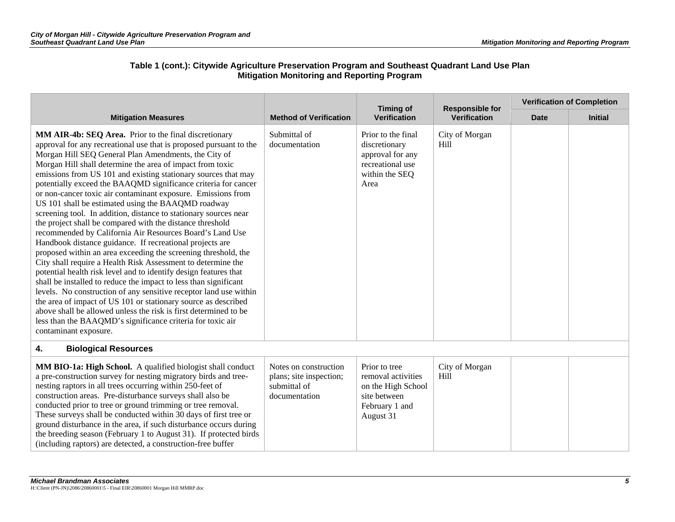|                                                                                                                                                                                                                                                                                                                                                                                                                                                                                                                                                                                                                                                                                                                                                                                                                                                                                                                                                                                                                                                                                                                                                                                                                                                                                                                                                 | <b>Method of Verification</b>                                                     | <b>Timing of</b><br>Verification                                                                         | <b>Responsible for</b><br><b>Verification</b> | <b>Verification of Completion</b> |                |  |
|-------------------------------------------------------------------------------------------------------------------------------------------------------------------------------------------------------------------------------------------------------------------------------------------------------------------------------------------------------------------------------------------------------------------------------------------------------------------------------------------------------------------------------------------------------------------------------------------------------------------------------------------------------------------------------------------------------------------------------------------------------------------------------------------------------------------------------------------------------------------------------------------------------------------------------------------------------------------------------------------------------------------------------------------------------------------------------------------------------------------------------------------------------------------------------------------------------------------------------------------------------------------------------------------------------------------------------------------------|-----------------------------------------------------------------------------------|----------------------------------------------------------------------------------------------------------|-----------------------------------------------|-----------------------------------|----------------|--|
| <b>Mitigation Measures</b>                                                                                                                                                                                                                                                                                                                                                                                                                                                                                                                                                                                                                                                                                                                                                                                                                                                                                                                                                                                                                                                                                                                                                                                                                                                                                                                      |                                                                                   |                                                                                                          |                                               | <b>Date</b>                       | <b>Initial</b> |  |
| MM AIR-4b: SEQ Area. Prior to the final discretionary<br>approval for any recreational use that is proposed pursuant to the<br>Morgan Hill SEQ General Plan Amendments, the City of<br>Morgan Hill shall determine the area of impact from toxic<br>emissions from US 101 and existing stationary sources that may<br>potentially exceed the BAAQMD significance criteria for cancer<br>or non-cancer toxic air contaminant exposure. Emissions from<br>US 101 shall be estimated using the BAAQMD roadway<br>screening tool. In addition, distance to stationary sources near<br>the project shall be compared with the distance threshold<br>recommended by California Air Resources Board's Land Use<br>Handbook distance guidance. If recreational projects are<br>proposed within an area exceeding the screening threshold, the<br>City shall require a Health Risk Assessment to determine the<br>potential health risk level and to identify design features that<br>shall be installed to reduce the impact to less than significant<br>levels. No construction of any sensitive receptor land use within<br>the area of impact of US 101 or stationary source as described<br>above shall be allowed unless the risk is first determined to be<br>less than the BAAQMD's significance criteria for toxic air<br>contaminant exposure. | Submittal of<br>documentation                                                     | Prior to the final<br>discretionary<br>approval for any<br>recreational use<br>within the SEQ<br>Area    | City of Morgan<br>Hill                        |                                   |                |  |
| <b>Biological Resources</b><br>4.                                                                                                                                                                                                                                                                                                                                                                                                                                                                                                                                                                                                                                                                                                                                                                                                                                                                                                                                                                                                                                                                                                                                                                                                                                                                                                               |                                                                                   |                                                                                                          |                                               |                                   |                |  |
| MM BIO-1a: High School. A qualified biologist shall conduct<br>a pre-construction survey for nesting migratory birds and tree-<br>nesting raptors in all trees occurring within 250-feet of<br>construction areas. Pre-disturbance surveys shall also be<br>conducted prior to tree or ground trimming or tree removal.<br>These surveys shall be conducted within 30 days of first tree or<br>ground disturbance in the area, if such disturbance occurs during<br>the breeding season (February 1 to August 31). If protected birds<br>(including raptors) are detected, a construction-free buffer                                                                                                                                                                                                                                                                                                                                                                                                                                                                                                                                                                                                                                                                                                                                           | Notes on construction<br>plans; site inspection;<br>submittal of<br>documentation | Prior to tree<br>removal activities<br>on the High School<br>site between<br>February 1 and<br>August 31 | City of Morgan<br>Hill                        |                                   |                |  |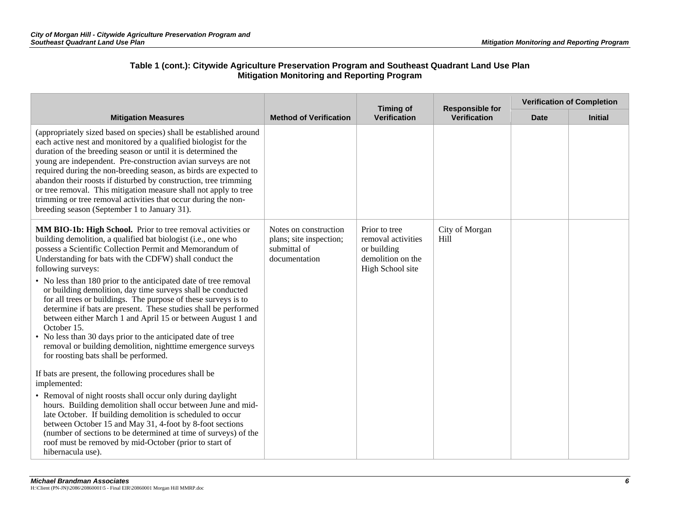|                                                                                                                                                                                                                                                                                                                                                                                                                                                                                                                                                                                                                                                                                                                                                                                                       |                                                                                   | <b>Timing of</b>                                                                            | <b>Responsible for</b> | <b>Verification of Completion</b> |                |  |
|-------------------------------------------------------------------------------------------------------------------------------------------------------------------------------------------------------------------------------------------------------------------------------------------------------------------------------------------------------------------------------------------------------------------------------------------------------------------------------------------------------------------------------------------------------------------------------------------------------------------------------------------------------------------------------------------------------------------------------------------------------------------------------------------------------|-----------------------------------------------------------------------------------|---------------------------------------------------------------------------------------------|------------------------|-----------------------------------|----------------|--|
| <b>Mitigation Measures</b>                                                                                                                                                                                                                                                                                                                                                                                                                                                                                                                                                                                                                                                                                                                                                                            | <b>Method of Verification</b>                                                     | <b>Verification</b>                                                                         | Verification           | <b>Date</b>                       | <b>Initial</b> |  |
| (appropriately sized based on species) shall be established around<br>each active nest and monitored by a qualified biologist for the<br>duration of the breeding season or until it is determined the<br>young are independent. Pre-construction avian surveys are not<br>required during the non-breeding season, as birds are expected to<br>abandon their roosts if disturbed by construction, tree trimming<br>or tree removal. This mitigation measure shall not apply to tree<br>trimming or tree removal activities that occur during the non-<br>breeding season (September 1 to January 31).                                                                                                                                                                                                |                                                                                   |                                                                                             |                        |                                   |                |  |
| MM BIO-1b: High School. Prior to tree removal activities or<br>building demolition, a qualified bat biologist (i.e., one who<br>possess a Scientific Collection Permit and Memorandum of<br>Understanding for bats with the CDFW) shall conduct the<br>following surveys:<br>• No less than 180 prior to the anticipated date of tree removal<br>or building demolition, day time surveys shall be conducted<br>for all trees or buildings. The purpose of these surveys is to<br>determine if bats are present. These studies shall be performed<br>between either March 1 and April 15 or between August 1 and<br>October 15.<br>No less than 30 days prior to the anticipated date of tree<br>removal or building demolition, nighttime emergence surveys<br>for roosting bats shall be performed. | Notes on construction<br>plans; site inspection;<br>submittal of<br>documentation | Prior to tree<br>removal activities<br>or building<br>demolition on the<br>High School site | City of Morgan<br>Hill |                                   |                |  |
| If bats are present, the following procedures shall be<br>implemented:<br>• Removal of night roosts shall occur only during daylight<br>hours. Building demolition shall occur between June and mid-<br>late October. If building demolition is scheduled to occur<br>between October 15 and May 31, 4-foot by 8-foot sections<br>(number of sections to be determined at time of surveys) of the<br>roof must be removed by mid-October (prior to start of<br>hibernacula use).                                                                                                                                                                                                                                                                                                                      |                                                                                   |                                                                                             |                        |                                   |                |  |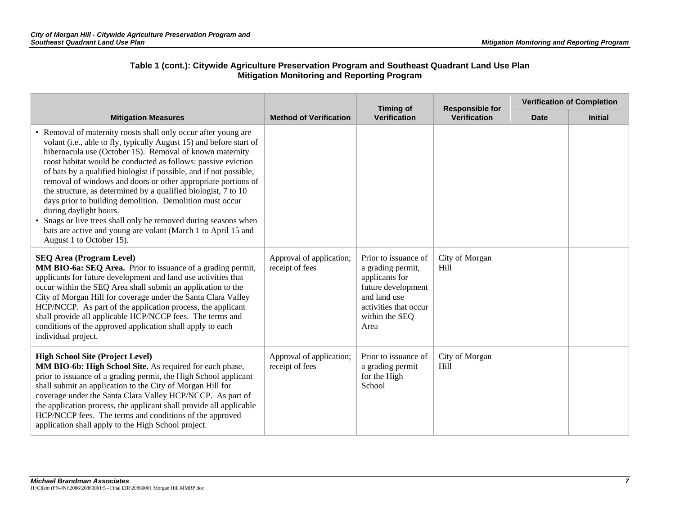|                                                                                                                                                                                                                                                                                                                                                                                                                                                                                                                                                                                                                                                                                                                                 | <b>Method of Verification</b>               | <b>Timing of</b><br><b>Verification</b>                                                                                                              | <b>Responsible for</b><br><b>Verification</b> | <b>Verification of Completion</b> |                |
|---------------------------------------------------------------------------------------------------------------------------------------------------------------------------------------------------------------------------------------------------------------------------------------------------------------------------------------------------------------------------------------------------------------------------------------------------------------------------------------------------------------------------------------------------------------------------------------------------------------------------------------------------------------------------------------------------------------------------------|---------------------------------------------|------------------------------------------------------------------------------------------------------------------------------------------------------|-----------------------------------------------|-----------------------------------|----------------|
| <b>Mitigation Measures</b>                                                                                                                                                                                                                                                                                                                                                                                                                                                                                                                                                                                                                                                                                                      |                                             |                                                                                                                                                      |                                               | <b>Date</b>                       | <b>Initial</b> |
| • Removal of maternity roosts shall only occur after young are<br>volant (i.e., able to fly, typically August 15) and before start of<br>hibernacula use (October 15). Removal of known maternity<br>roost habitat would be conducted as follows: passive eviction<br>of bats by a qualified biologist if possible, and if not possible,<br>removal of windows and doors or other appropriate portions of<br>the structure, as determined by a qualified biologist, 7 to 10<br>days prior to building demolition. Demolition must occur<br>during daylight hours.<br>Snags or live trees shall only be removed during seasons when<br>bats are active and young are volant (March 1 to April 15 and<br>August 1 to October 15). |                                             |                                                                                                                                                      |                                               |                                   |                |
| <b>SEQ Area (Program Level)</b><br>MM BIO-6a: SEQ Area. Prior to issuance of a grading permit,<br>applicants for future development and land use activities that<br>occur within the SEQ Area shall submit an application to the<br>City of Morgan Hill for coverage under the Santa Clara Valley<br>HCP/NCCP. As part of the application process, the applicant<br>shall provide all applicable HCP/NCCP fees. The terms and<br>conditions of the approved application shall apply to each<br>individual project.                                                                                                                                                                                                              | Approval of application;<br>receipt of fees | Prior to issuance of<br>a grading permit,<br>applicants for<br>future development<br>and land use<br>activities that occur<br>within the SEQ<br>Area | City of Morgan<br>Hill                        |                                   |                |
| <b>High School Site (Project Level)</b><br>MM BIO-6b: High School Site. As required for each phase,<br>prior to issuance of a grading permit, the High School applicant<br>shall submit an application to the City of Morgan Hill for<br>coverage under the Santa Clara Valley HCP/NCCP. As part of<br>the application process, the applicant shall provide all applicable<br>HCP/NCCP fees. The terms and conditions of the approved<br>application shall apply to the High School project.                                                                                                                                                                                                                                    | Approval of application;<br>receipt of fees | Prior to issuance of<br>a grading permit<br>for the High<br>School                                                                                   | City of Morgan<br>Hill                        |                                   |                |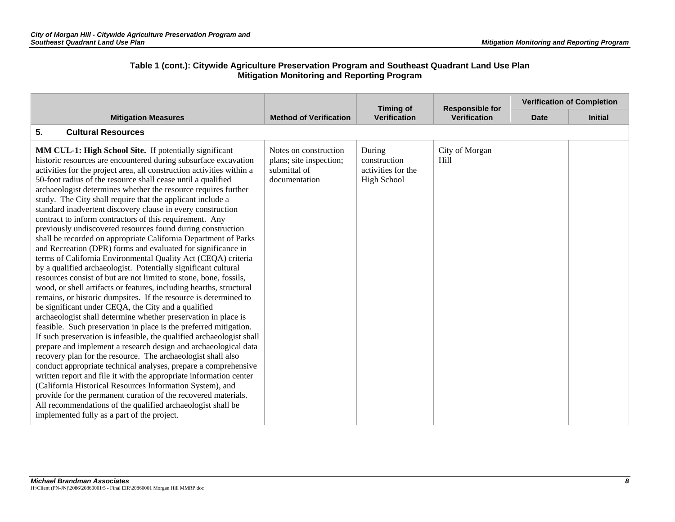|                                                                                                                                                                                                                                                                                                                                                                                                                                                                                                                                                                                                                                                                                                                                                                                                                                                                                                                                                                                                                                                                                                                                                                                                                                                                                                                                                                                                                                                                                                                                                                                                                                                                                                                                                                                                                                                                                   |                                                                                   | <b>Timing of</b>                                                   | <b>Responsible for</b> |             | <b>Verification of Completion</b> |
|-----------------------------------------------------------------------------------------------------------------------------------------------------------------------------------------------------------------------------------------------------------------------------------------------------------------------------------------------------------------------------------------------------------------------------------------------------------------------------------------------------------------------------------------------------------------------------------------------------------------------------------------------------------------------------------------------------------------------------------------------------------------------------------------------------------------------------------------------------------------------------------------------------------------------------------------------------------------------------------------------------------------------------------------------------------------------------------------------------------------------------------------------------------------------------------------------------------------------------------------------------------------------------------------------------------------------------------------------------------------------------------------------------------------------------------------------------------------------------------------------------------------------------------------------------------------------------------------------------------------------------------------------------------------------------------------------------------------------------------------------------------------------------------------------------------------------------------------------------------------------------------|-----------------------------------------------------------------------------------|--------------------------------------------------------------------|------------------------|-------------|-----------------------------------|
| <b>Mitigation Measures</b>                                                                                                                                                                                                                                                                                                                                                                                                                                                                                                                                                                                                                                                                                                                                                                                                                                                                                                                                                                                                                                                                                                                                                                                                                                                                                                                                                                                                                                                                                                                                                                                                                                                                                                                                                                                                                                                        | <b>Method of Verification</b>                                                     | <b>Verification</b>                                                | <b>Verification</b>    | <b>Date</b> | <b>Initial</b>                    |
| 5.<br><b>Cultural Resources</b>                                                                                                                                                                                                                                                                                                                                                                                                                                                                                                                                                                                                                                                                                                                                                                                                                                                                                                                                                                                                                                                                                                                                                                                                                                                                                                                                                                                                                                                                                                                                                                                                                                                                                                                                                                                                                                                   |                                                                                   |                                                                    |                        |             |                                   |
| MM CUL-1: High School Site. If potentially significant<br>historic resources are encountered during subsurface excavation<br>activities for the project area, all construction activities within a<br>50-foot radius of the resource shall cease until a qualified<br>archaeologist determines whether the resource requires further<br>study. The City shall require that the applicant include a<br>standard inadvertent discovery clause in every construction<br>contract to inform contractors of this requirement. Any<br>previously undiscovered resources found during construction<br>shall be recorded on appropriate California Department of Parks<br>and Recreation (DPR) forms and evaluated for significance in<br>terms of California Environmental Quality Act (CEQA) criteria<br>by a qualified archaeologist. Potentially significant cultural<br>resources consist of but are not limited to stone, bone, fossils,<br>wood, or shell artifacts or features, including hearths, structural<br>remains, or historic dumpsites. If the resource is determined to<br>be significant under CEQA, the City and a qualified<br>archaeologist shall determine whether preservation in place is<br>feasible. Such preservation in place is the preferred mitigation.<br>If such preservation is infeasible, the qualified archaeologist shall<br>prepare and implement a research design and archaeological data<br>recovery plan for the resource. The archaeologist shall also<br>conduct appropriate technical analyses, prepare a comprehensive<br>written report and file it with the appropriate information center<br>(California Historical Resources Information System), and<br>provide for the permanent curation of the recovered materials.<br>All recommendations of the qualified archaeologist shall be<br>implemented fully as a part of the project. | Notes on construction<br>plans; site inspection;<br>submittal of<br>documentation | During<br>construction<br>activities for the<br><b>High School</b> | City of Morgan<br>Hill |             |                                   |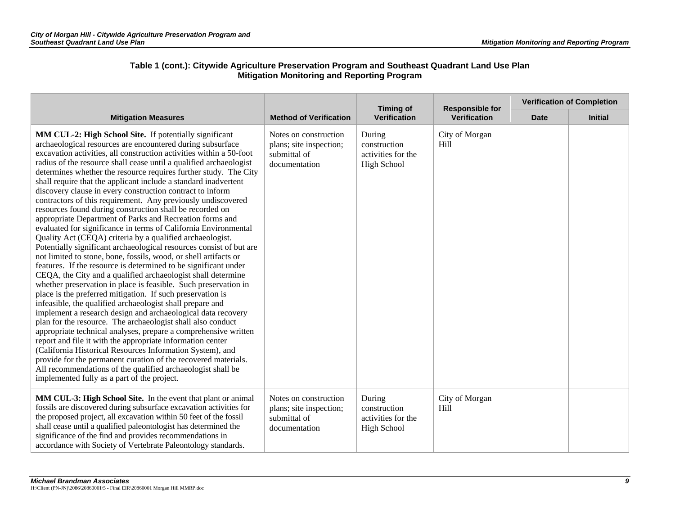|                                                                                                                                                                                                                                                                                                                                                                                                                                                                                                                                                                                                                                                                                                                                                                                                                                                                                                                                                                                                                                                                                                                                                                                                                                                                                                                                                                                                                                                                                                                                                                                                                                                                                                                                                                                        |                                                                                   | <b>Timing of</b>                                                   | <b>Responsible for</b> | <b>Verification of Completion</b> |                |  |
|----------------------------------------------------------------------------------------------------------------------------------------------------------------------------------------------------------------------------------------------------------------------------------------------------------------------------------------------------------------------------------------------------------------------------------------------------------------------------------------------------------------------------------------------------------------------------------------------------------------------------------------------------------------------------------------------------------------------------------------------------------------------------------------------------------------------------------------------------------------------------------------------------------------------------------------------------------------------------------------------------------------------------------------------------------------------------------------------------------------------------------------------------------------------------------------------------------------------------------------------------------------------------------------------------------------------------------------------------------------------------------------------------------------------------------------------------------------------------------------------------------------------------------------------------------------------------------------------------------------------------------------------------------------------------------------------------------------------------------------------------------------------------------------|-----------------------------------------------------------------------------------|--------------------------------------------------------------------|------------------------|-----------------------------------|----------------|--|
| <b>Mitigation Measures</b>                                                                                                                                                                                                                                                                                                                                                                                                                                                                                                                                                                                                                                                                                                                                                                                                                                                                                                                                                                                                                                                                                                                                                                                                                                                                                                                                                                                                                                                                                                                                                                                                                                                                                                                                                             | <b>Method of Verification</b>                                                     | Verification                                                       | <b>Verification</b>    | <b>Date</b>                       | <b>Initial</b> |  |
| MM CUL-2: High School Site. If potentially significant<br>archaeological resources are encountered during subsurface<br>excavation activities, all construction activities within a 50-foot<br>radius of the resource shall cease until a qualified archaeologist<br>determines whether the resource requires further study. The City<br>shall require that the applicant include a standard inadvertent<br>discovery clause in every construction contract to inform<br>contractors of this requirement. Any previously undiscovered<br>resources found during construction shall be recorded on<br>appropriate Department of Parks and Recreation forms and<br>evaluated for significance in terms of California Environmental<br>Quality Act (CEQA) criteria by a qualified archaeologist.<br>Potentially significant archaeological resources consist of but are<br>not limited to stone, bone, fossils, wood, or shell artifacts or<br>features. If the resource is determined to be significant under<br>CEQA, the City and a qualified archaeologist shall determine<br>whether preservation in place is feasible. Such preservation in<br>place is the preferred mitigation. If such preservation is<br>infeasible, the qualified archaeologist shall prepare and<br>implement a research design and archaeological data recovery<br>plan for the resource. The archaeologist shall also conduct<br>appropriate technical analyses, prepare a comprehensive written<br>report and file it with the appropriate information center<br>(California Historical Resources Information System), and<br>provide for the permanent curation of the recovered materials.<br>All recommendations of the qualified archaeologist shall be<br>implemented fully as a part of the project. | Notes on construction<br>plans; site inspection;<br>submittal of<br>documentation | During<br>construction<br>activities for the<br><b>High School</b> | City of Morgan<br>Hill |                                   |                |  |
| MM CUL-3: High School Site. In the event that plant or animal<br>fossils are discovered during subsurface excavation activities for<br>the proposed project, all excavation within 50 feet of the fossil<br>shall cease until a qualified paleontologist has determined the<br>significance of the find and provides recommendations in<br>accordance with Society of Vertebrate Paleontology standards.                                                                                                                                                                                                                                                                                                                                                                                                                                                                                                                                                                                                                                                                                                                                                                                                                                                                                                                                                                                                                                                                                                                                                                                                                                                                                                                                                                               | Notes on construction<br>plans; site inspection;<br>submittal of<br>documentation | During<br>construction<br>activities for the<br><b>High School</b> | City of Morgan<br>Hill |                                   |                |  |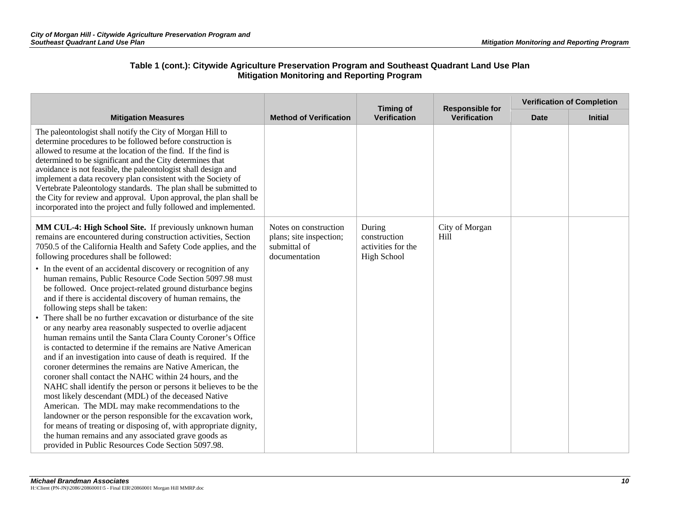|                                                                                                                                                                                                                                                                                                                                                                                                                                                                                                                                                                                                                                                                                                                                                                                                                                                                                                                                                                                                                                                                                                                                                                                                                                                                                                                                                                                                                                      |                                                                                   | <b>Timing of</b><br><b>Verification</b>                            | <b>Responsible for</b><br><b>Verification</b> | <b>Verification of Completion</b> |                |  |
|--------------------------------------------------------------------------------------------------------------------------------------------------------------------------------------------------------------------------------------------------------------------------------------------------------------------------------------------------------------------------------------------------------------------------------------------------------------------------------------------------------------------------------------------------------------------------------------------------------------------------------------------------------------------------------------------------------------------------------------------------------------------------------------------------------------------------------------------------------------------------------------------------------------------------------------------------------------------------------------------------------------------------------------------------------------------------------------------------------------------------------------------------------------------------------------------------------------------------------------------------------------------------------------------------------------------------------------------------------------------------------------------------------------------------------------|-----------------------------------------------------------------------------------|--------------------------------------------------------------------|-----------------------------------------------|-----------------------------------|----------------|--|
| <b>Mitigation Measures</b>                                                                                                                                                                                                                                                                                                                                                                                                                                                                                                                                                                                                                                                                                                                                                                                                                                                                                                                                                                                                                                                                                                                                                                                                                                                                                                                                                                                                           | <b>Method of Verification</b>                                                     |                                                                    |                                               | <b>Date</b>                       | <b>Initial</b> |  |
| The paleontologist shall notify the City of Morgan Hill to<br>determine procedures to be followed before construction is<br>allowed to resume at the location of the find. If the find is<br>determined to be significant and the City determines that<br>avoidance is not feasible, the paleontologist shall design and<br>implement a data recovery plan consistent with the Society of<br>Vertebrate Paleontology standards. The plan shall be submitted to<br>the City for review and approval. Upon approval, the plan shall be<br>incorporated into the project and fully followed and implemented.                                                                                                                                                                                                                                                                                                                                                                                                                                                                                                                                                                                                                                                                                                                                                                                                                            |                                                                                   |                                                                    |                                               |                                   |                |  |
| MM CUL-4: High School Site. If previously unknown human<br>remains are encountered during construction activities, Section<br>7050.5 of the California Health and Safety Code applies, and the<br>following procedures shall be followed:<br>• In the event of an accidental discovery or recognition of any<br>human remains, Public Resource Code Section 5097.98 must<br>be followed. Once project-related ground disturbance begins<br>and if there is accidental discovery of human remains, the<br>following steps shall be taken:<br>• There shall be no further excavation or disturbance of the site<br>or any nearby area reasonably suspected to overlie adjacent<br>human remains until the Santa Clara County Coroner's Office<br>is contacted to determine if the remains are Native American<br>and if an investigation into cause of death is required. If the<br>coroner determines the remains are Native American, the<br>coroner shall contact the NAHC within 24 hours, and the<br>NAHC shall identify the person or persons it believes to be the<br>most likely descendant (MDL) of the deceased Native<br>American. The MDL may make recommendations to the<br>landowner or the person responsible for the excavation work,<br>for means of treating or disposing of, with appropriate dignity,<br>the human remains and any associated grave goods as<br>provided in Public Resources Code Section 5097.98. | Notes on construction<br>plans; site inspection;<br>submittal of<br>documentation | During<br>construction<br>activities for the<br><b>High School</b> | City of Morgan<br>Hill                        |                                   |                |  |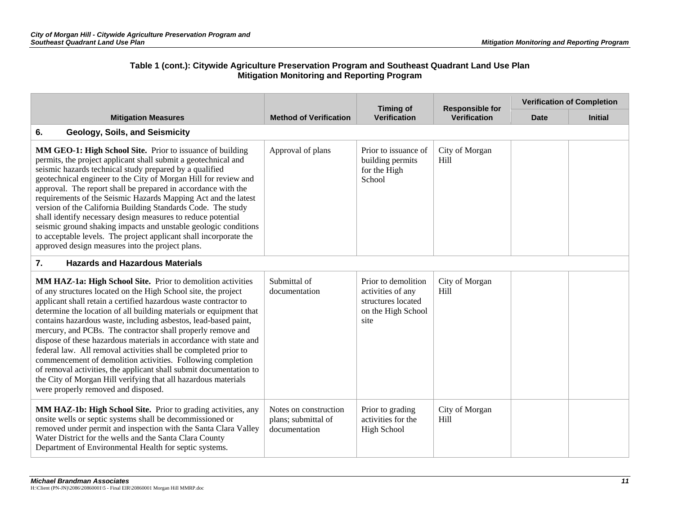|                                                                                                                                                                                                                                                                                                                                                                                                                                                                                                                                                                                                                                                                                                                                                                                                 |                                                               | <b>Timing of</b>                                                                             | <b>Responsible for</b> |             | <b>Verification of Completion</b> |
|-------------------------------------------------------------------------------------------------------------------------------------------------------------------------------------------------------------------------------------------------------------------------------------------------------------------------------------------------------------------------------------------------------------------------------------------------------------------------------------------------------------------------------------------------------------------------------------------------------------------------------------------------------------------------------------------------------------------------------------------------------------------------------------------------|---------------------------------------------------------------|----------------------------------------------------------------------------------------------|------------------------|-------------|-----------------------------------|
| <b>Mitigation Measures</b>                                                                                                                                                                                                                                                                                                                                                                                                                                                                                                                                                                                                                                                                                                                                                                      | <b>Method of Verification</b>                                 | <b>Verification</b>                                                                          | <b>Verification</b>    | <b>Date</b> | <b>Initial</b>                    |
| 6.<br>Geology, Soils, and Seismicity                                                                                                                                                                                                                                                                                                                                                                                                                                                                                                                                                                                                                                                                                                                                                            |                                                               |                                                                                              |                        |             |                                   |
| MM GEO-1: High School Site. Prior to issuance of building<br>permits, the project applicant shall submit a geotechnical and<br>seismic hazards technical study prepared by a qualified<br>geotechnical engineer to the City of Morgan Hill for review and<br>approval. The report shall be prepared in accordance with the<br>requirements of the Seismic Hazards Mapping Act and the latest<br>version of the California Building Standards Code. The study<br>shall identify necessary design measures to reduce potential<br>seismic ground shaking impacts and unstable geologic conditions<br>to acceptable levels. The project applicant shall incorporate the<br>approved design measures into the project plans.                                                                        | Approval of plans                                             | Prior to issuance of<br>building permits<br>for the High<br>School                           | City of Morgan<br>Hill |             |                                   |
| $\overline{7}$ .<br><b>Hazards and Hazardous Materials</b>                                                                                                                                                                                                                                                                                                                                                                                                                                                                                                                                                                                                                                                                                                                                      |                                                               |                                                                                              |                        |             |                                   |
| MM HAZ-1a: High School Site. Prior to demolition activities<br>of any structures located on the High School site, the project<br>applicant shall retain a certified hazardous waste contractor to<br>determine the location of all building materials or equipment that<br>contains hazardous waste, including asbestos, lead-based paint,<br>mercury, and PCBs. The contractor shall properly remove and<br>dispose of these hazardous materials in accordance with state and<br>federal law. All removal activities shall be completed prior to<br>commencement of demolition activities. Following completion<br>of removal activities, the applicant shall submit documentation to<br>the City of Morgan Hill verifying that all hazardous materials<br>were properly removed and disposed. | Submittal of<br>documentation                                 | Prior to demolition<br>activities of any<br>structures located<br>on the High School<br>site | City of Morgan<br>Hill |             |                                   |
| MM HAZ-1b: High School Site. Prior to grading activities, any<br>onsite wells or septic systems shall be decommissioned or<br>removed under permit and inspection with the Santa Clara Valley<br>Water District for the wells and the Santa Clara County<br>Department of Environmental Health for septic systems.                                                                                                                                                                                                                                                                                                                                                                                                                                                                              | Notes on construction<br>plans; submittal of<br>documentation | Prior to grading<br>activities for the<br><b>High School</b>                                 | City of Morgan<br>Hill |             |                                   |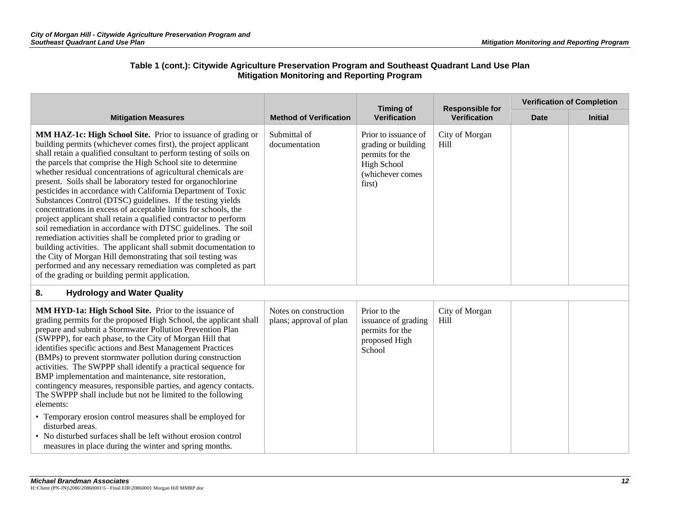| <b>Mitigation Measures</b>                                                                                                                                                                                                                                                                                                                                                                                                                                                                                                                                                                                                                                                                                                                                                                                                                                                                                                                                                                                                                                         | <b>Method of Verification</b>                    | <b>Timing of</b><br><b>Verification</b>                                                                            | <b>Responsible for</b><br><b>Verification</b> | <b>Verification of Completion</b> |                |
|--------------------------------------------------------------------------------------------------------------------------------------------------------------------------------------------------------------------------------------------------------------------------------------------------------------------------------------------------------------------------------------------------------------------------------------------------------------------------------------------------------------------------------------------------------------------------------------------------------------------------------------------------------------------------------------------------------------------------------------------------------------------------------------------------------------------------------------------------------------------------------------------------------------------------------------------------------------------------------------------------------------------------------------------------------------------|--------------------------------------------------|--------------------------------------------------------------------------------------------------------------------|-----------------------------------------------|-----------------------------------|----------------|
|                                                                                                                                                                                                                                                                                                                                                                                                                                                                                                                                                                                                                                                                                                                                                                                                                                                                                                                                                                                                                                                                    |                                                  |                                                                                                                    |                                               | <b>Date</b>                       | <b>Initial</b> |
| MM HAZ-1c: High School Site. Prior to issuance of grading or<br>building permits (whichever comes first), the project applicant<br>shall retain a qualified consultant to perform testing of soils on<br>the parcels that comprise the High School site to determine<br>whether residual concentrations of agricultural chemicals are<br>present. Soils shall be laboratory tested for organochlorine<br>pesticides in accordance with California Department of Toxic<br>Substances Control (DTSC) guidelines. If the testing yields<br>concentrations in excess of acceptable limits for schools, the<br>project applicant shall retain a qualified contractor to perform<br>soil remediation in accordance with DTSC guidelines. The soil<br>remediation activities shall be completed prior to grading or<br>building activities. The applicant shall submit documentation to<br>the City of Morgan Hill demonstrating that soil testing was<br>performed and any necessary remediation was completed as part<br>of the grading or building permit application. | Submittal of<br>documentation                    | Prior to issuance of<br>grading or building<br>permits for the<br><b>High School</b><br>(whichever comes<br>first) | City of Morgan<br>Hill                        |                                   |                |
| 8.<br><b>Hydrology and Water Quality</b>                                                                                                                                                                                                                                                                                                                                                                                                                                                                                                                                                                                                                                                                                                                                                                                                                                                                                                                                                                                                                           |                                                  |                                                                                                                    |                                               |                                   |                |
| MM HYD-1a: High School Site. Prior to the issuance of<br>grading permits for the proposed High School, the applicant shall<br>prepare and submit a Stormwater Pollution Prevention Plan<br>(SWPPP), for each phase, to the City of Morgan Hill that<br>identifies specific actions and Best Management Practices<br>(BMPs) to prevent stormwater pollution during construction<br>activities. The SWPPP shall identify a practical sequence for<br>BMP implementation and maintenance, site restoration,<br>contingency measures, responsible parties, and agency contacts.<br>The SWPPP shall include but not be limited to the following<br>elements:<br>• Temporary erosion control measures shall be employed for<br>disturbed areas.<br>• No disturbed surfaces shall be left without erosion control<br>measures in place during the winter and spring months.                                                                                                                                                                                               | Notes on construction<br>plans; approval of plan | Prior to the<br>issuance of grading<br>permits for the<br>proposed High<br>School                                  | City of Morgan<br>Hill                        |                                   |                |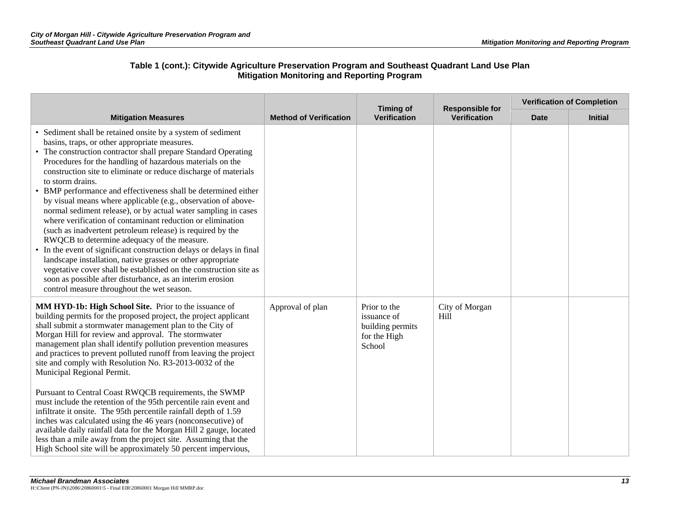| <b>Mitigation Measures</b>                                                                                                                                                                                                                                                                                                                                                                                                                                                                                                                                                                                                                                                                                                                                                                                                                                                                                                                                                                                                                |                               | <b>Timing of</b>                                                          | <b>Responsible for</b><br><b>Verification</b> | <b>Verification of Completion</b> |                |
|-------------------------------------------------------------------------------------------------------------------------------------------------------------------------------------------------------------------------------------------------------------------------------------------------------------------------------------------------------------------------------------------------------------------------------------------------------------------------------------------------------------------------------------------------------------------------------------------------------------------------------------------------------------------------------------------------------------------------------------------------------------------------------------------------------------------------------------------------------------------------------------------------------------------------------------------------------------------------------------------------------------------------------------------|-------------------------------|---------------------------------------------------------------------------|-----------------------------------------------|-----------------------------------|----------------|
|                                                                                                                                                                                                                                                                                                                                                                                                                                                                                                                                                                                                                                                                                                                                                                                                                                                                                                                                                                                                                                           | <b>Method of Verification</b> | <b>Verification</b>                                                       |                                               | <b>Date</b>                       | <b>Initial</b> |
| • Sediment shall be retained onsite by a system of sediment<br>basins, traps, or other appropriate measures.<br>• The construction contractor shall prepare Standard Operating<br>Procedures for the handling of hazardous materials on the<br>construction site to eliminate or reduce discharge of materials<br>to storm drains.<br>• BMP performance and effectiveness shall be determined either<br>by visual means where applicable (e.g., observation of above-<br>normal sediment release), or by actual water sampling in cases<br>where verification of contaminant reduction or elimination<br>(such as inadvertent petroleum release) is required by the<br>RWQCB to determine adequacy of the measure.<br>• In the event of significant construction delays or delays in final<br>landscape installation, native grasses or other appropriate<br>vegetative cover shall be established on the construction site as<br>soon as possible after disturbance, as an interim erosion<br>control measure throughout the wet season. |                               |                                                                           |                                               |                                   |                |
| MM HYD-1b: High School Site. Prior to the issuance of<br>building permits for the proposed project, the project applicant<br>shall submit a stormwater management plan to the City of<br>Morgan Hill for review and approval. The stormwater<br>management plan shall identify pollution prevention measures<br>and practices to prevent polluted runoff from leaving the project<br>site and comply with Resolution No. R3-2013-0032 of the<br>Municipal Regional Permit.<br>Pursuant to Central Coast RWQCB requirements, the SWMP<br>must include the retention of the 95th percentile rain event and<br>infiltrate it onsite. The 95th percentile rainfall depth of 1.59<br>inches was calculated using the 46 years (nonconsecutive) of<br>available daily rainfall data for the Morgan Hill 2 gauge, located<br>less than a mile away from the project site. Assuming that the                                                                                                                                                      | Approval of plan              | Prior to the<br>issuance of<br>building permits<br>for the High<br>School | City of Morgan<br>Hill                        |                                   |                |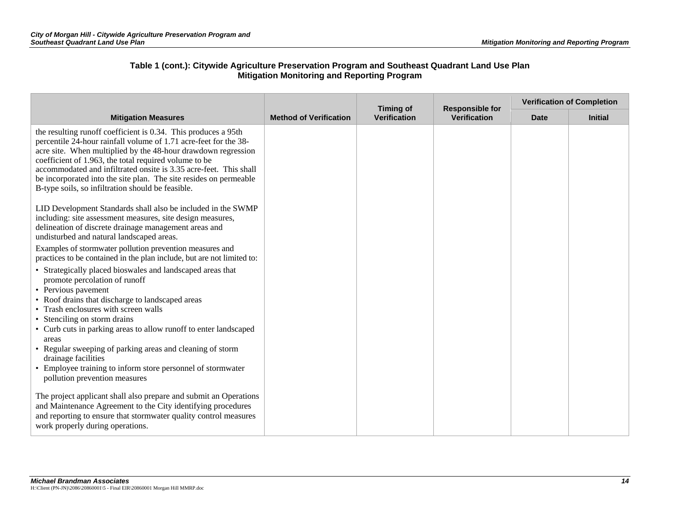|                                                                                                                                                                                                                                                                                                                                                                                                                                                                                                                 |                               | <b>Timing of</b>    | <b>Responsible for</b> |             | <b>Verification of Completion</b> |
|-----------------------------------------------------------------------------------------------------------------------------------------------------------------------------------------------------------------------------------------------------------------------------------------------------------------------------------------------------------------------------------------------------------------------------------------------------------------------------------------------------------------|-------------------------------|---------------------|------------------------|-------------|-----------------------------------|
| <b>Mitigation Measures</b>                                                                                                                                                                                                                                                                                                                                                                                                                                                                                      | <b>Method of Verification</b> | <b>Verification</b> | <b>Verification</b>    | <b>Date</b> | <b>Initial</b>                    |
| the resulting runoff coefficient is 0.34. This produces a 95th<br>percentile 24-hour rainfall volume of 1.71 acre-feet for the 38-<br>acre site. When multiplied by the 48-hour drawdown regression<br>coefficient of 1.963, the total required volume to be<br>accommodated and infiltrated onsite is 3.35 acre-feet. This shall<br>be incorporated into the site plan. The site resides on permeable<br>B-type soils, so infiltration should be feasible.                                                     |                               |                     |                        |             |                                   |
| LID Development Standards shall also be included in the SWMP<br>including: site assessment measures, site design measures,<br>delineation of discrete drainage management areas and<br>undisturbed and natural landscaped areas.                                                                                                                                                                                                                                                                                |                               |                     |                        |             |                                   |
| Examples of stormwater pollution prevention measures and<br>practices to be contained in the plan include, but are not limited to:                                                                                                                                                                                                                                                                                                                                                                              |                               |                     |                        |             |                                   |
| • Strategically placed bioswales and landscaped areas that<br>promote percolation of runoff<br>• Pervious pavement<br>• Roof drains that discharge to landscaped areas<br>• Trash enclosures with screen walls<br>• Stenciling on storm drains<br>• Curb cuts in parking areas to allow runoff to enter landscaped<br>areas<br>• Regular sweeping of parking areas and cleaning of storm<br>drainage facilities<br>• Employee training to inform store personnel of stormwater<br>pollution prevention measures |                               |                     |                        |             |                                   |
| The project applicant shall also prepare and submit an Operations<br>and Maintenance Agreement to the City identifying procedures<br>and reporting to ensure that stormwater quality control measures<br>work properly during operations.                                                                                                                                                                                                                                                                       |                               |                     |                        |             |                                   |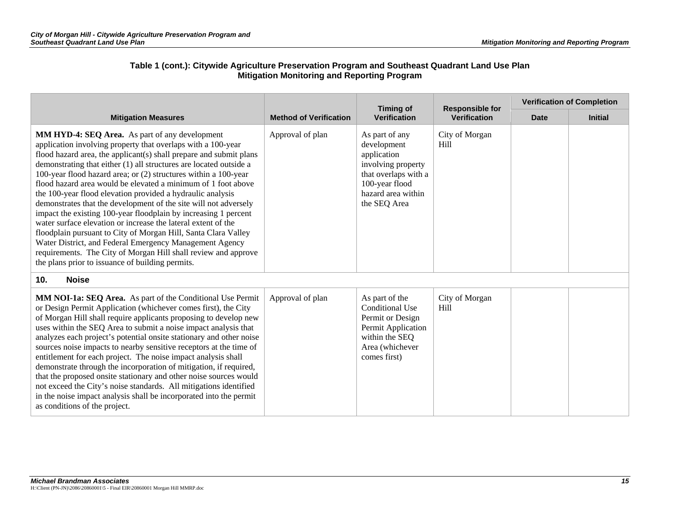| <b>Mitigation Measures</b>                                                                                                                                                                                                                                                                                                                                                                                                                                                                                                                                                                                                                                                                                                                                                                                                                                                                                                     |                               | <b>Timing of</b>                                                                                                                                   | <b>Responsible for</b><br><b>Verification</b> | <b>Verification of Completion</b> |                |
|--------------------------------------------------------------------------------------------------------------------------------------------------------------------------------------------------------------------------------------------------------------------------------------------------------------------------------------------------------------------------------------------------------------------------------------------------------------------------------------------------------------------------------------------------------------------------------------------------------------------------------------------------------------------------------------------------------------------------------------------------------------------------------------------------------------------------------------------------------------------------------------------------------------------------------|-------------------------------|----------------------------------------------------------------------------------------------------------------------------------------------------|-----------------------------------------------|-----------------------------------|----------------|
|                                                                                                                                                                                                                                                                                                                                                                                                                                                                                                                                                                                                                                                                                                                                                                                                                                                                                                                                | <b>Method of Verification</b> | <b>Verification</b>                                                                                                                                |                                               | <b>Date</b>                       | <b>Initial</b> |
| <b>MM HYD-4: SEQ Area.</b> As part of any development<br>application involving property that overlaps with a 100-year<br>flood hazard area, the applicant(s) shall prepare and submit plans<br>demonstrating that either (1) all structures are located outside a<br>100-year flood hazard area; or (2) structures within a 100-year<br>flood hazard area would be elevated a minimum of 1 foot above<br>the 100-year flood elevation provided a hydraulic analysis<br>demonstrates that the development of the site will not adversely<br>impact the existing 100-year floodplain by increasing 1 percent<br>water surface elevation or increase the lateral extent of the<br>floodplain pursuant to City of Morgan Hill, Santa Clara Valley<br>Water District, and Federal Emergency Management Agency<br>requirements. The City of Morgan Hill shall review and approve<br>the plans prior to issuance of building permits. | Approval of plan              | As part of any<br>development<br>application<br>involving property<br>that overlaps with a<br>100-year flood<br>hazard area within<br>the SEQ Area | City of Morgan<br>H <sub>ill</sub>            |                                   |                |
| <b>Noise</b><br>10.                                                                                                                                                                                                                                                                                                                                                                                                                                                                                                                                                                                                                                                                                                                                                                                                                                                                                                            |                               |                                                                                                                                                    |                                               |                                   |                |
| MM NOI-1a: SEQ Area. As part of the Conditional Use Permit<br>or Design Permit Application (whichever comes first), the City<br>of Morgan Hill shall require applicants proposing to develop new<br>uses within the SEQ Area to submit a noise impact analysis that<br>analyzes each project's potential onsite stationary and other noise<br>sources noise impacts to nearby sensitive receptors at the time of<br>entitlement for each project. The noise impact analysis shall<br>demonstrate through the incorporation of mitigation, if required,<br>that the proposed onsite stationary and other noise sources would<br>not exceed the City's noise standards. All mitigations identified<br>in the noise impact analysis shall be incorporated into the permit<br>as conditions of the project.                                                                                                                        | Approval of plan              | As part of the<br>Conditional Use<br>Permit or Design<br>Permit Application<br>within the SEQ<br>Area (whichever<br>comes first)                   | City of Morgan<br>Hill                        |                                   |                |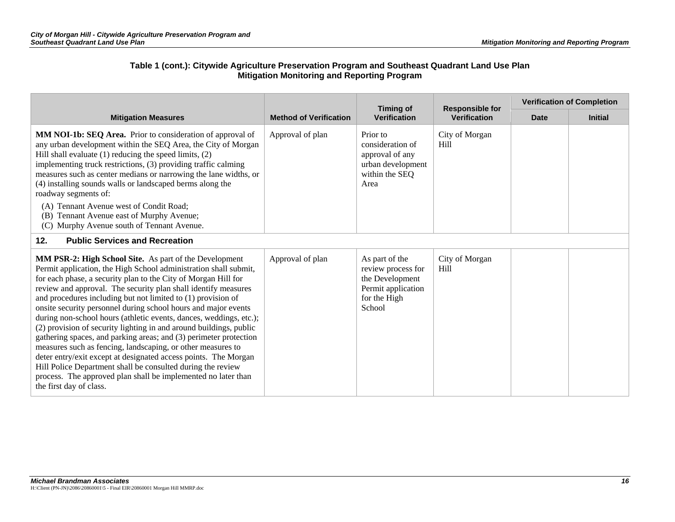|                                                                                                                                                                                                                                                                                                                                                                                                                                                                                                                                                                                                                                                                                                                                                                                                                                                                                                                | <b>Timing of</b>              | <b>Responsible for</b>                                                                                  | <b>Verification of Completion</b>  |             |                |
|----------------------------------------------------------------------------------------------------------------------------------------------------------------------------------------------------------------------------------------------------------------------------------------------------------------------------------------------------------------------------------------------------------------------------------------------------------------------------------------------------------------------------------------------------------------------------------------------------------------------------------------------------------------------------------------------------------------------------------------------------------------------------------------------------------------------------------------------------------------------------------------------------------------|-------------------------------|---------------------------------------------------------------------------------------------------------|------------------------------------|-------------|----------------|
| <b>Mitigation Measures</b>                                                                                                                                                                                                                                                                                                                                                                                                                                                                                                                                                                                                                                                                                                                                                                                                                                                                                     | <b>Method of Verification</b> | <b>Verification</b><br><b>Verification</b>                                                              |                                    | <b>Date</b> | <b>Initial</b> |
| MM NOI-1b: SEQ Area. Prior to consideration of approval of<br>any urban development within the SEQ Area, the City of Morgan<br>Hill shall evaluate (1) reducing the speed limits, (2)<br>implementing truck restrictions, (3) providing traffic calming<br>measures such as center medians or narrowing the lane widths, or<br>(4) installing sounds walls or landscaped berms along the<br>roadway segments of:                                                                                                                                                                                                                                                                                                                                                                                                                                                                                               | Approval of plan              | Prior to<br>consideration of<br>approval of any<br>urban development<br>within the SEQ<br>Area          | City of Morgan<br>H <sub>ill</sub> |             |                |
| (A) Tennant Avenue west of Condit Road;<br>(B) Tennant Avenue east of Murphy Avenue;<br>(C) Murphy Avenue south of Tennant Avenue.                                                                                                                                                                                                                                                                                                                                                                                                                                                                                                                                                                                                                                                                                                                                                                             |                               |                                                                                                         |                                    |             |                |
| <b>Public Services and Recreation</b><br>12.                                                                                                                                                                                                                                                                                                                                                                                                                                                                                                                                                                                                                                                                                                                                                                                                                                                                   |                               |                                                                                                         |                                    |             |                |
| MM PSR-2: High School Site. As part of the Development<br>Permit application, the High School administration shall submit,<br>for each phase, a security plan to the City of Morgan Hill for<br>review and approval. The security plan shall identify measures<br>and procedures including but not limited to (1) provision of<br>onsite security personnel during school hours and major events<br>during non-school hours (athletic events, dances, weddings, etc.);<br>(2) provision of security lighting in and around buildings, public<br>gathering spaces, and parking areas; and (3) perimeter protection<br>measures such as fencing, landscaping, or other measures to<br>deter entry/exit except at designated access points. The Morgan<br>Hill Police Department shall be consulted during the review<br>process. The approved plan shall be implemented no later than<br>the first day of class. | Approval of plan              | As part of the<br>review process for<br>the Development<br>Permit application<br>for the High<br>School | City of Morgan<br>H <sub>ill</sub> |             |                |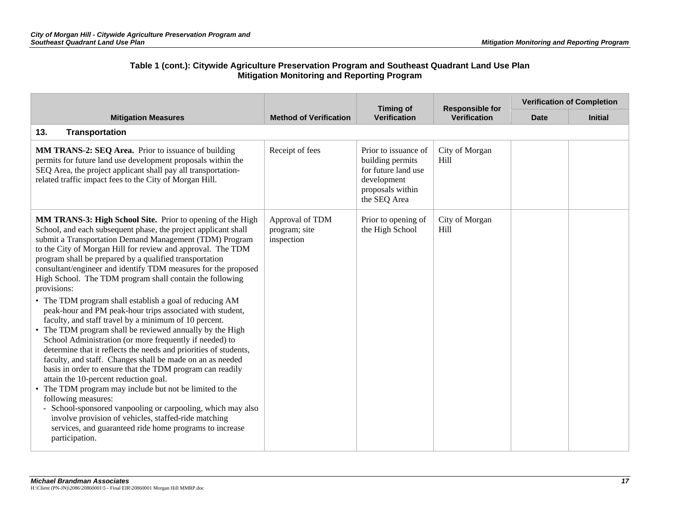|                                                                                                                                                                                                                                                                                                                                                                                                                                                                                                                                                                                                                                                                                                                                                                                                                                                                                                                                                                                                                                                                                                                                                                                                                                                                                                     |                                                | <b>Timing of</b>                                                                                                   | <b>Responsible for</b><br><b>Verification</b> | <b>Verification of Completion</b> |                |
|-----------------------------------------------------------------------------------------------------------------------------------------------------------------------------------------------------------------------------------------------------------------------------------------------------------------------------------------------------------------------------------------------------------------------------------------------------------------------------------------------------------------------------------------------------------------------------------------------------------------------------------------------------------------------------------------------------------------------------------------------------------------------------------------------------------------------------------------------------------------------------------------------------------------------------------------------------------------------------------------------------------------------------------------------------------------------------------------------------------------------------------------------------------------------------------------------------------------------------------------------------------------------------------------------------|------------------------------------------------|--------------------------------------------------------------------------------------------------------------------|-----------------------------------------------|-----------------------------------|----------------|
| <b>Mitigation Measures</b>                                                                                                                                                                                                                                                                                                                                                                                                                                                                                                                                                                                                                                                                                                                                                                                                                                                                                                                                                                                                                                                                                                                                                                                                                                                                          | <b>Method of Verification</b>                  | <b>Verification</b>                                                                                                |                                               | <b>Date</b>                       | <b>Initial</b> |
| <b>Transportation</b><br>13.                                                                                                                                                                                                                                                                                                                                                                                                                                                                                                                                                                                                                                                                                                                                                                                                                                                                                                                                                                                                                                                                                                                                                                                                                                                                        |                                                |                                                                                                                    |                                               |                                   |                |
| MM TRANS-2: SEQ Area. Prior to issuance of building<br>permits for future land use development proposals within the<br>SEQ Area, the project applicant shall pay all transportation-<br>related traffic impact fees to the City of Morgan Hill.                                                                                                                                                                                                                                                                                                                                                                                                                                                                                                                                                                                                                                                                                                                                                                                                                                                                                                                                                                                                                                                     | Receipt of fees                                | Prior to issuance of<br>building permits<br>for future land use<br>development<br>proposals within<br>the SEQ Area | City of Morgan<br>Hill                        |                                   |                |
| MM TRANS-3: High School Site. Prior to opening of the High<br>School, and each subsequent phase, the project applicant shall<br>submit a Transportation Demand Management (TDM) Program<br>to the City of Morgan Hill for review and approval. The TDM<br>program shall be prepared by a qualified transportation<br>consultant/engineer and identify TDM measures for the proposed<br>High School. The TDM program shall contain the following<br>provisions:<br>• The TDM program shall establish a goal of reducing AM<br>peak-hour and PM peak-hour trips associated with student,<br>faculty, and staff travel by a minimum of 10 percent.<br>• The TDM program shall be reviewed annually by the High<br>School Administration (or more frequently if needed) to<br>determine that it reflects the needs and priorities of students,<br>faculty, and staff. Changes shall be made on an as needed<br>basis in order to ensure that the TDM program can readily<br>attain the 10-percent reduction goal.<br>• The TDM program may include but not be limited to the<br>following measures:<br>- School-sponsored vanpooling or carpooling, which may also<br>involve provision of vehicles, staffed-ride matching<br>services, and guaranteed ride home programs to increase<br>participation. | Approval of TDM<br>program; site<br>inspection | Prior to opening of<br>the High School                                                                             | City of Morgan<br>Hill                        |                                   |                |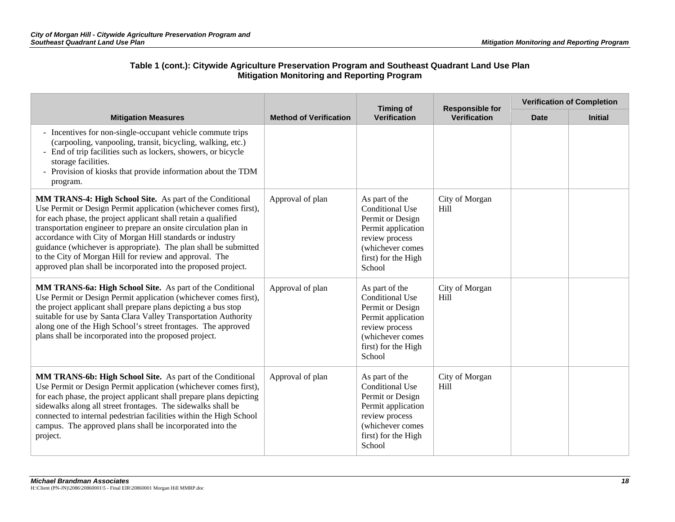| <b>Mitigation Measures</b>                                                                                                                                                                                                                                                                                                                                                                                                                                                                                                       |                               | <b>Timing of</b>                                                                                                                                          | <b>Responsible for</b><br><b>Verification</b> | <b>Verification of Completion</b> |                |
|----------------------------------------------------------------------------------------------------------------------------------------------------------------------------------------------------------------------------------------------------------------------------------------------------------------------------------------------------------------------------------------------------------------------------------------------------------------------------------------------------------------------------------|-------------------------------|-----------------------------------------------------------------------------------------------------------------------------------------------------------|-----------------------------------------------|-----------------------------------|----------------|
|                                                                                                                                                                                                                                                                                                                                                                                                                                                                                                                                  | <b>Method of Verification</b> | <b>Verification</b>                                                                                                                                       |                                               | <b>Date</b>                       | <b>Initial</b> |
| - Incentives for non-single-occupant vehicle commute trips<br>(carpooling, vanpooling, transit, bicycling, walking, etc.)<br>- End of trip facilities such as lockers, showers, or bicycle<br>storage facilities.<br>- Provision of kiosks that provide information about the TDM<br>program.                                                                                                                                                                                                                                    |                               |                                                                                                                                                           |                                               |                                   |                |
| MM TRANS-4: High School Site. As part of the Conditional<br>Use Permit or Design Permit application (whichever comes first),<br>for each phase, the project applicant shall retain a qualified<br>transportation engineer to prepare an onsite circulation plan in<br>accordance with City of Morgan Hill standards or industry<br>guidance (whichever is appropriate). The plan shall be submitted<br>to the City of Morgan Hill for review and approval. The<br>approved plan shall be incorporated into the proposed project. | Approval of plan              | As part of the<br>Conditional Use<br>Permit or Design<br>Permit application<br>review process<br>(whichever comes<br>first) for the High<br>School        | City of Morgan<br>H <sub>ill</sub>            |                                   |                |
| MM TRANS-6a: High School Site. As part of the Conditional<br>Use Permit or Design Permit application (whichever comes first),<br>the project applicant shall prepare plans depicting a bus stop<br>suitable for use by Santa Clara Valley Transportation Authority<br>along one of the High School's street frontages. The approved<br>plans shall be incorporated into the proposed project.                                                                                                                                    | Approval of plan              | As part of the<br><b>Conditional Use</b><br>Permit or Design<br>Permit application<br>review process<br>(whichever comes<br>first) for the High<br>School | City of Morgan<br>H <sub>ill</sub>            |                                   |                |
| MM TRANS-6b: High School Site. As part of the Conditional<br>Use Permit or Design Permit application (whichever comes first),<br>for each phase, the project applicant shall prepare plans depicting<br>sidewalks along all street frontages. The sidewalks shall be<br>connected to internal pedestrian facilities within the High School<br>campus. The approved plans shall be incorporated into the<br>project.                                                                                                              | Approval of plan              | As part of the<br><b>Conditional Use</b><br>Permit or Design<br>Permit application<br>review process<br>(whichever comes<br>first) for the High<br>School | City of Morgan<br>Hill                        |                                   |                |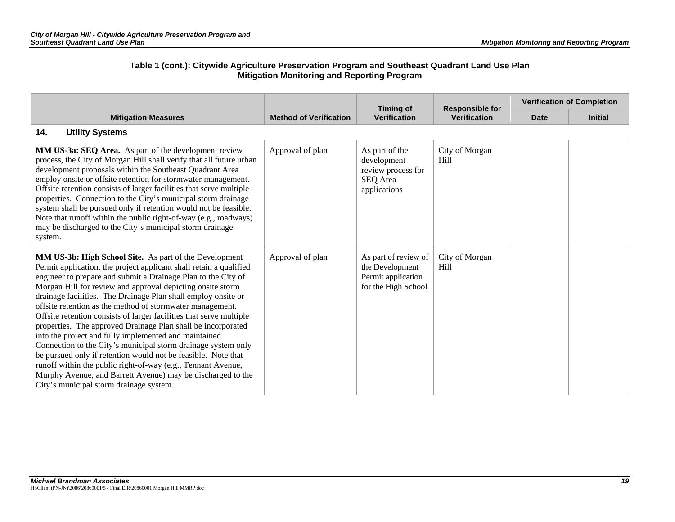|                                                                                                                                                                                                                                                                                                                                                                                                                                                                                                                                                                                                                                                                                                                                                                                                                                                                                                               |                               | <b>Timing of</b>                                                                     | <b>Responsible for</b><br><b>Verification</b> | <b>Verification of Completion</b> |                |
|---------------------------------------------------------------------------------------------------------------------------------------------------------------------------------------------------------------------------------------------------------------------------------------------------------------------------------------------------------------------------------------------------------------------------------------------------------------------------------------------------------------------------------------------------------------------------------------------------------------------------------------------------------------------------------------------------------------------------------------------------------------------------------------------------------------------------------------------------------------------------------------------------------------|-------------------------------|--------------------------------------------------------------------------------------|-----------------------------------------------|-----------------------------------|----------------|
| <b>Mitigation Measures</b>                                                                                                                                                                                                                                                                                                                                                                                                                                                                                                                                                                                                                                                                                                                                                                                                                                                                                    | <b>Method of Verification</b> | <b>Verification</b>                                                                  |                                               | <b>Date</b>                       | <b>Initial</b> |
| <b>Utility Systems</b><br>14.                                                                                                                                                                                                                                                                                                                                                                                                                                                                                                                                                                                                                                                                                                                                                                                                                                                                                 |                               |                                                                                      |                                               |                                   |                |
| MM US-3a: SEQ Area. As part of the development review<br>process, the City of Morgan Hill shall verify that all future urban<br>development proposals within the Southeast Quadrant Area<br>employ onsite or offsite retention for stormwater management.<br>Offsite retention consists of larger facilities that serve multiple<br>properties. Connection to the City's municipal storm drainage<br>system shall be pursued only if retention would not be feasible.<br>Note that runoff within the public right-of-way (e.g., roadways)<br>may be discharged to the City's municipal storm drainage<br>system.                                                                                                                                                                                                                                                                                              | Approval of plan              | As part of the<br>development<br>review process for<br>SEQ Area<br>applications      | City of Morgan<br>Hill                        |                                   |                |
| <b>MM US-3b: High School Site.</b> As part of the Development<br>Permit application, the project applicant shall retain a qualified<br>engineer to prepare and submit a Drainage Plan to the City of<br>Morgan Hill for review and approval depicting onsite storm<br>drainage facilities. The Drainage Plan shall employ onsite or<br>offsite retention as the method of stormwater management.<br>Offsite retention consists of larger facilities that serve multiple<br>properties. The approved Drainage Plan shall be incorporated<br>into the project and fully implemented and maintained.<br>Connection to the City's municipal storm drainage system only<br>be pursued only if retention would not be feasible. Note that<br>runoff within the public right-of-way (e.g., Tennant Avenue,<br>Murphy Avenue, and Barrett Avenue) may be discharged to the<br>City's municipal storm drainage system. | Approval of plan              | As part of review of<br>the Development<br>Permit application<br>for the High School | City of Morgan<br>Hill                        |                                   |                |